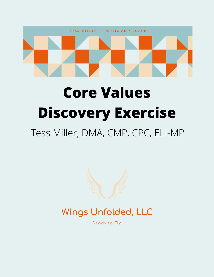

# **Core Values Discovery Exercise**

## Tess Miller, DMA, CMP, CPC, ELI-MP



### Wings Unfolded, LLC

Ready to Fly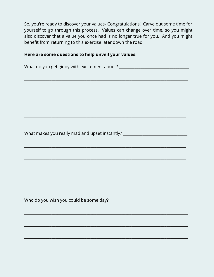So, you're ready to discover your values- Congratulations! Carve out some time for yourself to go through this process. Values can change over time, so you might also discover that a value you once had is no longer true for you. And you might benefit from returning to this exercise later down the road.

#### Here are some questions to help unveil your values:

| What do you get giddy with excitement about? ___________________________________                                     |
|----------------------------------------------------------------------------------------------------------------------|
| <u> 1989 - Jan James James James James James James James James James James James James James James James James J</u> |
|                                                                                                                      |
| <u> 1989 - Johann Barn, mars eta bat erroman erroman erroman erroman erroman ezkin erroman ez erroman ez ez ez e</u> |
|                                                                                                                      |
|                                                                                                                      |
|                                                                                                                      |
| What makes you really mad and upset instantly? _________________________________                                     |
|                                                                                                                      |
|                                                                                                                      |
|                                                                                                                      |
|                                                                                                                      |
|                                                                                                                      |
|                                                                                                                      |
|                                                                                                                      |
|                                                                                                                      |
|                                                                                                                      |
|                                                                                                                      |
|                                                                                                                      |
|                                                                                                                      |
|                                                                                                                      |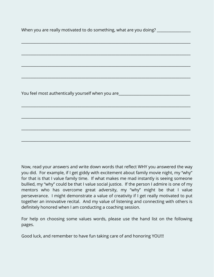When you are really motivated to do something, what are you doing?

\_\_\_\_\_\_\_\_\_\_\_\_\_\_\_\_\_\_\_\_\_\_\_\_\_\_\_\_\_\_\_\_\_\_\_\_\_\_\_\_\_\_\_\_\_\_\_\_\_\_\_\_\_\_\_\_\_\_\_\_\_\_\_\_\_\_\_\_\_\_\_\_\_\_\_\_\_\_\_\_\_\_\_\_\_\_\_\_\_\_

\_\_\_\_\_\_\_\_\_\_\_\_\_\_\_\_\_\_\_\_\_\_\_\_\_\_\_\_\_\_\_\_\_\_\_\_\_\_\_\_\_\_\_\_\_\_\_\_\_\_\_\_\_\_\_\_\_\_\_\_\_\_\_\_\_\_\_\_\_\_\_\_\_\_\_\_\_\_\_\_\_\_\_\_\_\_\_\_\_\_

\_\_\_\_\_\_\_\_\_\_\_\_\_\_\_\_\_\_\_\_\_\_\_\_\_\_\_\_\_\_\_\_\_\_\_\_\_\_\_\_\_\_\_\_\_\_\_\_\_\_\_\_\_\_\_\_\_\_\_\_\_\_\_\_\_\_\_\_\_\_\_\_\_\_\_\_\_\_\_\_\_\_\_\_\_\_\_\_\_\_

\_\_\_\_\_\_\_\_\_\_\_\_\_\_\_\_\_\_\_\_\_\_\_\_\_\_\_\_\_\_\_\_\_\_\_\_\_\_\_\_\_\_\_\_\_\_\_\_\_\_\_\_\_\_\_\_\_\_\_\_\_\_\_\_\_\_\_\_\_\_\_\_\_\_\_\_\_\_\_\_\_\_\_\_\_\_\_\_\_\_

\_\_\_\_\_\_\_\_\_\_\_\_\_\_\_\_\_\_\_\_\_\_\_\_\_\_\_\_\_\_\_\_\_\_\_\_\_\_\_\_\_\_\_\_\_\_\_\_\_\_\_\_\_\_\_\_\_\_\_\_\_\_\_\_\_\_\_\_\_\_\_\_\_\_\_\_\_\_\_\_\_\_\_\_\_\_\_\_\_\_

\_\_\_\_\_\_\_\_\_\_\_\_\_\_\_\_\_\_\_\_\_\_\_\_\_\_\_\_\_\_\_\_\_\_\_\_\_\_\_\_\_\_\_\_\_\_\_\_\_\_\_\_\_\_\_\_\_\_\_\_\_\_\_\_\_\_\_\_\_\_\_\_\_\_\_\_\_\_\_\_\_\_\_\_\_\_\_\_\_\_

\_\_\_\_\_\_\_\_\_\_\_\_\_\_\_\_\_\_\_\_\_\_\_\_\_\_\_\_\_\_\_\_\_\_\_\_\_\_\_\_\_\_\_\_\_\_\_\_\_\_\_\_\_\_\_\_\_\_\_\_\_\_\_\_\_\_\_\_\_\_\_\_\_\_\_\_\_\_\_\_\_\_\_\_\_\_\_\_\_\_

\_\_\_\_\_\_\_\_\_\_\_\_\_\_\_\_\_\_\_\_\_\_\_\_\_\_\_\_\_\_\_\_\_\_\_\_\_\_\_\_\_\_\_\_\_\_\_\_\_\_\_\_\_\_\_\_\_\_\_\_\_\_\_\_\_\_\_\_\_\_\_\_\_\_\_\_\_\_\_\_\_\_\_\_\_\_\_\_\_\_

You feel most authentically yourself when you are

Now, read your answers and write down words that reflect WHY you answered the way you did. For example, if I get giddy with excitement about family movie night, my "why" for that is that I value family time. If what makes me mad instantly is seeing someone bullied, my "why" could be that I value social justice. If the person I admire is one of my mentors who has overcome great adversity, my "why" might be that I value perseverance. I might demonstrate a value of creativity if I get really motivated to put together an innovative recital. And my value of listening and connecting with others is definitely honored when I am conducting a coaching session.

For help on choosing some values words, please use the hand list on the following pages.

Good luck, and remember to have fun taking care of and honoring YOU!!!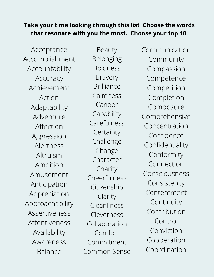#### **Take your time looking through this list Choose the words that resonate with you the most. Choose your top 10.**

Acceptance Accomplishment Accountability Accuracy Achievement Action Adaptability Adventure Affection Aggression Alertness Altruism Ambition Amusement Anticipation Appreciation Approachability Assertiveness Attentiveness Availability Awareness Balance

Beauty Belonging Boldness Bravery Brilliance Calmness Candor **Capability** Carefulness **Certainty** Challenge Change Character Charity Cheerfulness Citizenship Clarity Cleanliness Cleverness Collaboration Comfort Commitment Common Sense Communication Community Compassion Competence Competition Completion Composure Comprehensive Concentration Confidence Confidentiality Conformity Connection Consciousness Consistency Contentment Continuity Contribution Control Conviction Cooperation Coordination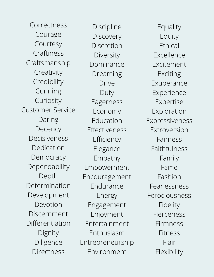Correctness Courage Courtesy Craftiness Craftsmanship Creativity Credibility Cunning Curiosity Customer Service Daring **Decency** Decisiveness Dedication **Democracy** Dependability Depth Determination Development Devotion Discernment Differentiation Dignity Diligence **Directness** 

Discipline **Discovery** Discretion Diversity Dominance Dreaming Drive Duty Eagerness Economy Education Effectiveness Efficiency Elegance Empathy Empowerment Encouragement Endurance Energy Engagement Enjoyment Entertainment Enthusiasm Entrepreneurship Environment

Equality Equity Ethical Excellence Excitement Exciting Exuberance Experience Expertise Exploration Expressiveness Extroversion Fairness Faithfulness Family Fame Fashion Fearlessness Ferociousness Fidelity Fierceness Firmness Fitness Flair **Flexibility**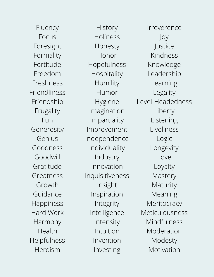Fluency Focus Foresight Formality Fortitude Freedom Freshness Friendliness Friendship Frugality Fun Generosity Genius Goodness Goodwill Gratitude Greatness Growth Guidance Happiness Hard Work Harmony Health Helpfulness Heroism

**History** Holiness Honesty Honor Hopefulness Hospitality Humility Humor Hygiene Imagination Impartiality Improvement Independence Individuality Industry Innovation Inquisitiveness Insight Inspiration Integrity Intelligence Intensity Intuition Invention Investing

Irreverence Joy Justice Kindness Knowledge Leadership Learning Legality Level-Headedness Liberty Listening Liveliness Logic Longevity Love Loyalty **Mastery** Maturity Meaning **Meritocracy** Meticulousness Mindfulness Moderation Modesty Motivation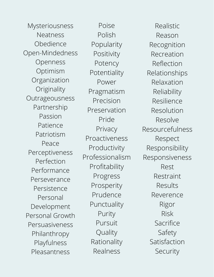Mysteriousness Neatness Obedience Open-Mindedness Openness Optimism Organization **Originality** Outrageousness Partnership Passion Patience Patriotism Peace Perceptiveness Perfection Performance Perseverance Persistence Personal Development Personal Growth Persuasiveness Philanthropy Playfulness Pleasantness

Poise Polish Popularity Positivity Potency Potentiality Power Pragmatism Precision Preservation Pride Privacy Proactiveness Productivity Professionalism Profitability Progress Prosperity Prudence Punctuality Purity Pursuit Quality Rationality Realness

Realistic Reason Recognition Recreation Reflection Relationships Relaxation Reliability Resilience Resolution Resolve Resourcefulness Respect Responsibility Responsiveness Rest Restraint Results Reverence Rigor Risk Sacrifice Safety Satisfaction Security